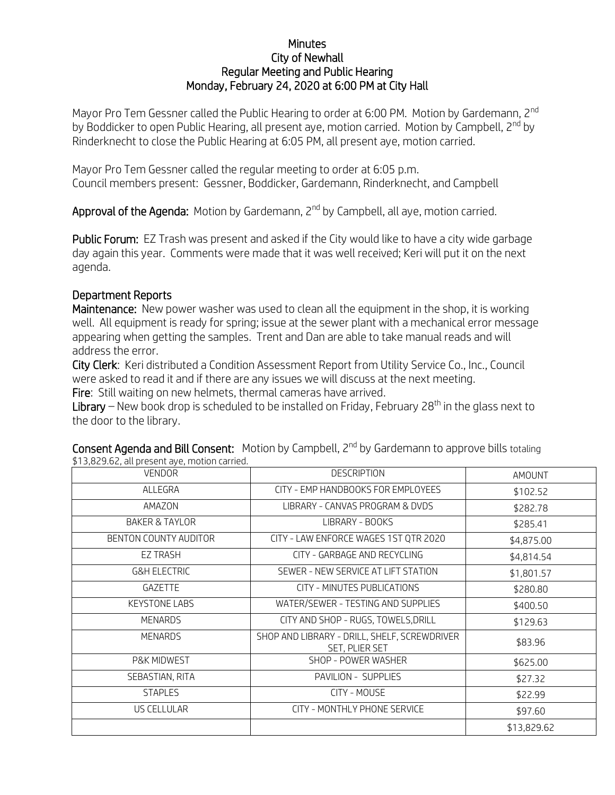## **Minutes** City of Newhall Regular Meeting and Public Hearing Monday, February 24, 2020 at 6:00 PM at City Hall

Mayor Pro Tem Gessner called the Public Hearing to order at 6:00 PM. Motion by Gardemann, 2<sup>nd</sup> by Boddicker to open Public Hearing, all present aye, motion carried. Motion by Campbell, 2<sup>nd</sup> by Rinderknecht to close the Public Hearing at 6:05 PM, all present aye, motion carried.

Mayor Pro Tem Gessner called the regular meeting to order at 6:05 p.m. Council members present: Gessner, Boddicker, Gardemann, Rinderknecht, and Campbell

Approval of the Agenda: Motion by Gardemann, 2<sup>nd</sup> by Campbell, all aye, motion carried.

Public Forum: EZ Trash was present and asked if the City would like to have a city wide garbage day again this year. Comments were made that it was well received; Keri will put it on the next agenda.

## Department Reports

Maintenance: New power washer was used to clean all the equipment in the shop, it is working well. All equipment is ready for spring; issue at the sewer plant with a mechanical error message appearing when getting the samples. Trent and Dan are able to take manual reads and will address the error.

City Clerk: Keri distributed a Condition Assessment Report from Utility Service Co., Inc., Council were asked to read it and if there are any issues we will discuss at the next meeting. Fire: Still waiting on new helmets, thermal cameras have arrived.

Library – New book drop is scheduled to be installed on Friday, February 28<sup>th</sup> in the glass next to the door to the library.

| p i 5,629.02, dit present dye, motion cameu. |                                                                |             |
|----------------------------------------------|----------------------------------------------------------------|-------------|
| <b>VENDOR</b>                                | <b>DESCRIPTION</b>                                             | AMOUNT      |
| ALLEGRA                                      | CITY - EMP HANDBOOKS FOR EMPLOYEES                             | \$102.52    |
| AMAZON                                       | LIBRARY - CANVAS PROGRAM & DVDS                                | \$282.78    |
| <b>BAKER &amp; TAYLOR</b>                    | LIBRARY - BOOKS                                                | \$285.41    |
| BENTON COUNTY AUDITOR                        | CITY - LAW ENFORCE WAGES 1ST QTR 2020                          | \$4,875.00  |
| EZ TRASH                                     | CITY - GARBAGE AND RECYCLING                                   | \$4,814.54  |
| <b>G&amp;H ELECTRIC</b>                      | SEWER - NEW SERVICE AT LIFT STATION                            | \$1,801.57  |
| GAZETTE                                      | CITY - MINUTES PUBLICATIONS                                    | \$280.80    |
| <b>KEYSTONE LABS</b>                         | WATER/SEWER - TESTING AND SUPPLIES                             | \$400.50    |
| <b>MENARDS</b>                               | CITY AND SHOP - RUGS, TOWELS, DRILL                            | \$129.63    |
| <b>MENARDS</b>                               | SHOP AND LIBRARY - DRILL, SHELF, SCREWDRIVER<br>SET, PLIER SET | \$83.96     |
| P&K MIDWEST                                  | SHOP - POWER WASHER                                            | \$625.00    |
| SEBASTIAN, RITA                              | PAVILION - SUPPLIES                                            | \$27.32     |
| <b>STAPLES</b>                               | CITY - MOUSE                                                   | \$22.99     |
| US CELLULAR                                  | CITY - MONTHLY PHONE SERVICE                                   | \$97.60     |
|                                              |                                                                | \$13,829.62 |

Consent Agenda and Bill Consent: Motion by Campbell, 2<sup>nd</sup> by Gardemann to approve bills totaling \$13,829.62, all present aye, motion carried.